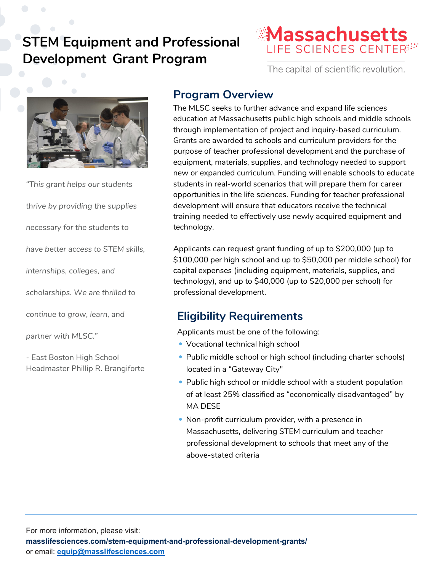# **STEM Equipment and Professional Development Grant Program**



The capital of scientific revolution.



*"This grant helps our students thrive by providing the supplies necessary for the students to have better access to STEM skills, internships, colleges, and scholarships. We are thrilled to* 

*continue to grow, learn, and* 

*partner with MLSC."*

- East Boston High School Headmaster Phillip R. Brangiforte

### **Program Overview**

The MLSC seeks to further advance and expand life sciences education at Massachusetts public high schools and middle schools through implementation of project and inquiry-based curriculum. Grants are awarded to schools and curriculum providers for the purpose of teacher professional development and the purchase of equipment, materials, supplies, and technology needed to support new or expanded curriculum. Funding will enable schools to educate students in real-world scenarios that will prepare them for career opportunities in the life sciences. Funding for teacher professional development will ensure that educators receive the technical training needed to effectively use newly acquired equipment and technology.

Applicants can request grant funding of up to \$200,000 (up to \$100,000 per high school and up to \$50,000 per middle school) for capital expenses (including equipment, materials, supplies, and technology), and up to \$40,000 (up to \$20,000 per school) for professional development.

## **Eligibility Requirements**

Applicants must be one of the following:

- Vocational technical high school
- Public middle school or high school (including charter schools) located in a "Gateway City"
- Public high school or middle school with a student population of at least 25% classified as "economically disadvantaged" by MA DESE
- Non-profit curriculum provider, with a presence in Massachusetts, delivering STEM curriculum and teacher professional development to schools that meet any of the above-stated criteria